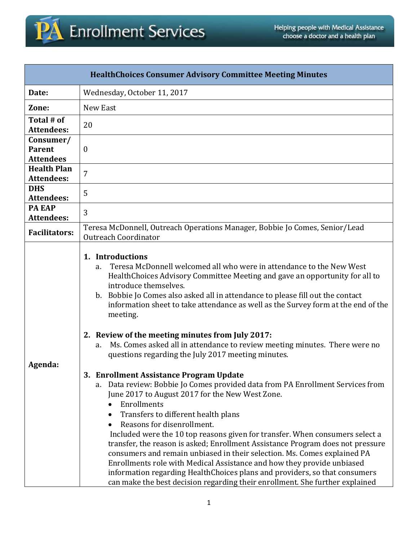

| <b>HealthChoices Consumer Advisory Committee Meeting Minutes</b> |                                                                                                                                                                                                                                                                                                                                                                                                                                                                                                                                                                                                                                                                                                                                                         |  |  |
|------------------------------------------------------------------|---------------------------------------------------------------------------------------------------------------------------------------------------------------------------------------------------------------------------------------------------------------------------------------------------------------------------------------------------------------------------------------------------------------------------------------------------------------------------------------------------------------------------------------------------------------------------------------------------------------------------------------------------------------------------------------------------------------------------------------------------------|--|--|
| Date:                                                            | Wednesday, October 11, 2017                                                                                                                                                                                                                                                                                                                                                                                                                                                                                                                                                                                                                                                                                                                             |  |  |
| Zone:                                                            | New East                                                                                                                                                                                                                                                                                                                                                                                                                                                                                                                                                                                                                                                                                                                                                |  |  |
| Total # of<br><b>Attendees:</b>                                  | 20                                                                                                                                                                                                                                                                                                                                                                                                                                                                                                                                                                                                                                                                                                                                                      |  |  |
| Consumer/<br><b>Parent</b><br><b>Attendees</b>                   | $\boldsymbol{0}$                                                                                                                                                                                                                                                                                                                                                                                                                                                                                                                                                                                                                                                                                                                                        |  |  |
| <b>Health Plan</b><br><b>Attendees:</b>                          | 7                                                                                                                                                                                                                                                                                                                                                                                                                                                                                                                                                                                                                                                                                                                                                       |  |  |
| <b>DHS</b><br><b>Attendees:</b>                                  | 5                                                                                                                                                                                                                                                                                                                                                                                                                                                                                                                                                                                                                                                                                                                                                       |  |  |
| <b>PA EAP</b><br><b>Attendees:</b>                               | 3                                                                                                                                                                                                                                                                                                                                                                                                                                                                                                                                                                                                                                                                                                                                                       |  |  |
| <b>Facilitators:</b>                                             | Teresa McDonnell, Outreach Operations Manager, Bobbie Jo Comes, Senior/Lead<br><b>Outreach Coordinator</b>                                                                                                                                                                                                                                                                                                                                                                                                                                                                                                                                                                                                                                              |  |  |
| Agenda:                                                          | 1. Introductions<br>Teresa McDonnell welcomed all who were in attendance to the New West<br>a.<br>HealthChoices Advisory Committee Meeting and gave an opportunity for all to<br>introduce themselves.<br>b. Bobbie Jo Comes also asked all in attendance to please fill out the contact<br>information sheet to take attendance as well as the Survey form at the end of the<br>meeting.<br>2. Review of the meeting minutes from July 2017:<br>Ms. Comes asked all in attendance to review meeting minutes. There were no<br>a.<br>questions regarding the July 2017 meeting minutes.                                                                                                                                                                 |  |  |
|                                                                  | 3. Enrollment Assistance Program Update<br>a. Data review: Bobbie Jo Comes provided data from PA Enrollment Services from<br>June 2017 to August 2017 for the New West Zone.<br>Enrollments<br>Transfers to different health plans<br>Reasons for disenrollment.<br>Included were the 10 top reasons given for transfer. When consumers select a<br>transfer, the reason is asked; Enrollment Assistance Program does not pressure<br>consumers and remain unbiased in their selection. Ms. Comes explained PA<br>Enrollments role with Medical Assistance and how they provide unbiased<br>information regarding Health Choices plans and providers, so that consumers<br>can make the best decision regarding their enrollment. She further explained |  |  |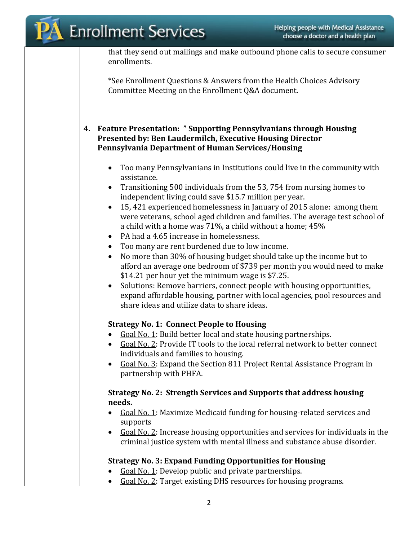that they send out mailings and make outbound phone calls to secure consumer enrollments.

\*See Enrollment Questions & Answers from the Health Choices Advisory Committee Meeting on the Enrollment Q&A document.

### **4. Feature Presentation: " Supporting Pennsylvanians through Housing Presented by: Ben Laudermilch, Executive Housing Director Pennsylvania Department of Human Services/Housing**

- Too many Pennsylvanians in Institutions could live in the community with assistance.
- Transitioning 500 individuals from the 53, 754 from nursing homes to independent living could save \$15.7 million per year.
- 15, 421 experienced homelessness in January of 2015 alone: among them were veterans, school aged children and families. The average test school of a child with a home was 71%, a child without a home; 45%
- PA had a 4.65 increase in homelessness.
- Too many are rent burdened due to low income.
- No more than 30% of housing budget should take up the income but to afford an average one bedroom of \$739 per month you would need to make \$14.21 per hour yet the minimum wage is \$7.25.
- Solutions: Remove barriers, connect people with housing opportunities, expand affordable housing, partner with local agencies, pool resources and share ideas and utilize data to share ideas.

# **Strategy No. 1: Connect People to Housing**

- Goal No. 1: Build better local and state housing partnerships.
- Goal No. 2: Provide IT tools to the local referral network to better connect individuals and families to housing.
- Goal No. 3: Expand the Section 811 Project Rental Assistance Program in partnership with PHFA.

## **Strategy No. 2: Strength Services and Supports that address housing needs.**

- Goal No. 1: Maximize Medicaid funding for housing-related services and supports
- Goal No. 2: Increase housing opportunities and services for individuals in the criminal justice system with mental illness and substance abuse disorder.

# **Strategy No. 3: Expand Funding Opportunities for Housing**

- Goal No. 1: Develop public and private partnerships.
- Goal No. 2: Target existing DHS resources for housing programs.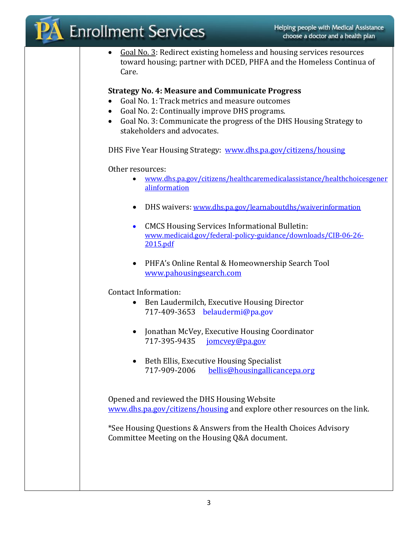|                                                                                                                                                                                                                                                                                                                                                               | <b>Enrollment Services</b>                                                                                                                                          | Helping people with Medical Assistance<br>choose a doctor and a health plan |
|---------------------------------------------------------------------------------------------------------------------------------------------------------------------------------------------------------------------------------------------------------------------------------------------------------------------------------------------------------------|---------------------------------------------------------------------------------------------------------------------------------------------------------------------|-----------------------------------------------------------------------------|
|                                                                                                                                                                                                                                                                                                                                                               | Goal No. 3: Redirect existing homeless and housing services resources<br>$\bullet$<br>toward housing; partner with DCED, PHFA and the Homeless Continua of<br>Care. |                                                                             |
| <b>Strategy No. 4: Measure and Communicate Progress</b><br>Goal No. 1: Track metrics and measure outcomes<br>$\bullet$<br>Goal No. 2: Continually improve DHS programs.<br>Goal No. 3: Communicate the progress of the DHS Housing Strategy to<br>$\bullet$<br>stakeholders and advocates.<br>DHS Five Year Housing Strategy: www.dhs.pa.gov/citizens/housing |                                                                                                                                                                     |                                                                             |
|                                                                                                                                                                                                                                                                                                                                                               | Other resources:<br>www.dhs.pa.gov/citizens/healthcaremedicalassistance/healthchoicesgener<br>$\bullet$<br>alinformation                                            |                                                                             |
|                                                                                                                                                                                                                                                                                                                                                               | DHS waivers: www.dhs.pa.gov/learnaboutdhs/waiverinformation                                                                                                         |                                                                             |
|                                                                                                                                                                                                                                                                                                                                                               | <b>CMCS Housing Services Informational Bulletin:</b><br>$\bullet$<br>www.medicaid.gov/federal-policy-guidance/downloads/CIB-06-26-<br>2015.pdf                      |                                                                             |
|                                                                                                                                                                                                                                                                                                                                                               | PHFA's Online Rental & Homeownership Search Tool<br>$\bullet$<br>www.pahousingsearch.com                                                                            |                                                                             |
|                                                                                                                                                                                                                                                                                                                                                               | <b>Contact Information:</b><br>Ben Laudermilch, Executive Housing Director<br>$\bullet$<br>717-409-3653 belaudermi@pa.gov                                           |                                                                             |
|                                                                                                                                                                                                                                                                                                                                                               | Jonathan McVey, Executive Housing Coordinator<br>717-395-9435<br>jomcvey@pa.gov                                                                                     |                                                                             |
|                                                                                                                                                                                                                                                                                                                                                               | Beth Ellis, Executive Housing Specialist<br>$\bullet$<br>717-909-2006<br>bellis@housingallicancepa.org                                                              |                                                                             |
|                                                                                                                                                                                                                                                                                                                                                               | Opened and reviewed the DHS Housing Website<br>www.dhs.pa.gov/citizens/housing and explore other resources on the link.                                             |                                                                             |
|                                                                                                                                                                                                                                                                                                                                                               | *See Housing Questions & Answers from the Health Choices Advisory<br>Committee Meeting on the Housing Q&A document.                                                 |                                                                             |
|                                                                                                                                                                                                                                                                                                                                                               |                                                                                                                                                                     |                                                                             |